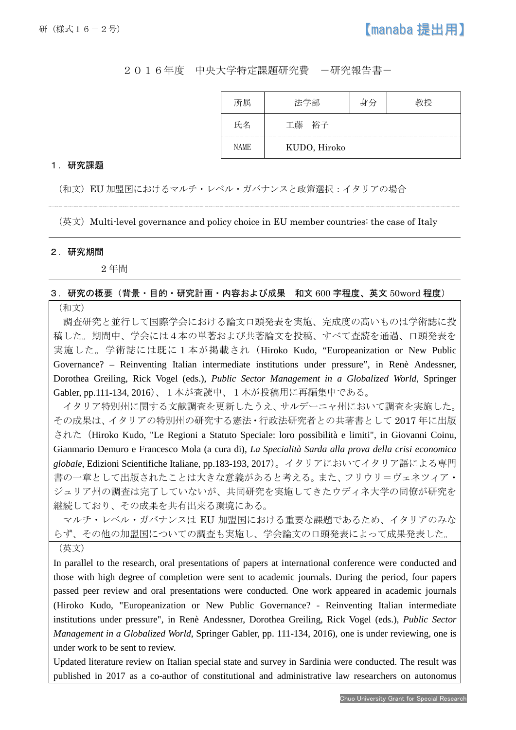# 2016年度 中央大学特定課題研究費 -研究報告書-

| 所属          | 法学部          | 身分 | 幼将 |
|-------------|--------------|----|----|
| 氏名          | 工藤<br>裕子     |    |    |
| <b>NAME</b> | KUDO, Hiroko |    |    |

## 1.研究課題

(和文)EU 加盟国におけるマルチ・レベル・ガバナンスと政策選択:イタリアの場合

(英文)Multi-level governance and policy choice in EU member countries: the case of Italy

#### 2.研究期間

I

2 年間

### 3.研究の概要(背景・目的・研究計画・内容および成果 和文 600 字程度、英文 50word 程度)

## (和文)

調査研究と並行して国際学会における論文口頭発表を実施、完成度の高いものは学術誌に投 稿した。期間中、学会には4本の単著および共著論文を投稿、すべて査読を通過、口頭発表を 実施した。学術誌には既に1本が掲載され(Hiroko Kudo, "Europeanization or New Public Governance? – Reinventing Italian intermediate institutions under pressure", in Renè Andessner, Dorothea Greiling, Rick Vogel (eds.), *Public Sector Management in a Globalized World*, Springer Gabler, pp.111-134, 2016)、1本が査読中、1本が投稿用に再編集中である。

イタリア特別州に関する文献調査を更新したうえ、サルデーニャ州において調査を実施した。 その成果は、イタリアの特別州の研究する憲法・行政法研究者との共著書として 2017 年に出版 された(Hiroko Kudo, "Le Regioni a Statuto Speciale: loro possibilità e limiti", in Giovanni Coinu, Gianmario Demuro e Francesco Mola (a cura di), *La Specialità Sarda alla prova della crisi economica globale*, Edizioni Scientifiche Italiane, pp.183-193, 2017)。イタリアにおいてイタリア語による専門 書の一章として出版されたことは大きな意義があると考える。また、フリウリ=ヴェネツィア・ ジュリア州の調査は完了していないが、共同研究を実施してきたウディネ大学の同僚が研究を 継続しており、その成果を共有出来る環境にある。

マルチ・レベル・ガバナンスは EU 加盟国における重要な課題であるため、イタリアのみな らず、その他の加盟国についての調査も実施し、学会論文の口頭発表によって成果発表した。 (英文)

In parallel to the research, oral presentations of papers at international conference were conducted and those with high degree of completion were sent to academic journals. During the period, four papers passed peer review and oral presentations were conducted. One work appeared in academic journals (Hiroko Kudo, "Europeanization or New Public Governance? - Reinventing Italian intermediate institutions under pressure", in Renè Andessner, Dorothea Greiling, Rick Vogel (eds.), *Public Sector Management in a Globalized World*, Springer Gabler, pp. 111-134, 2016), one is under reviewing, one is under work to be sent to review.

Updated literature review on Italian special state and survey in Sardinia were conducted. The result was published in 2017 as a co-author of constitutional and administrative law researchers on autonomus